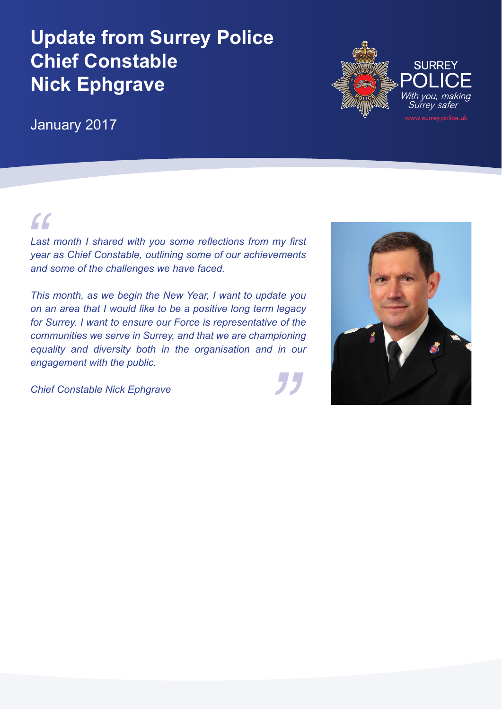# **Update from Surrey Police Chief Constable Nick Ephgrave**

January 2017

*"*

*Last month I shared with you some reflections from my first year as Chief Constable, outlining some of our achievements and some of the challenges we have faced.* 

*nioning<br>in our This month, as we begin the New Year, I want to update you on an area that I would like to be a positive long term legacy for Surrey. I want to ensure our Force is representative of the communities we serve in Surrey, and that we are championing equality and diversity both in the organisation and in our engagement with the public.*

*Chief Constable Nick Ephgrave*



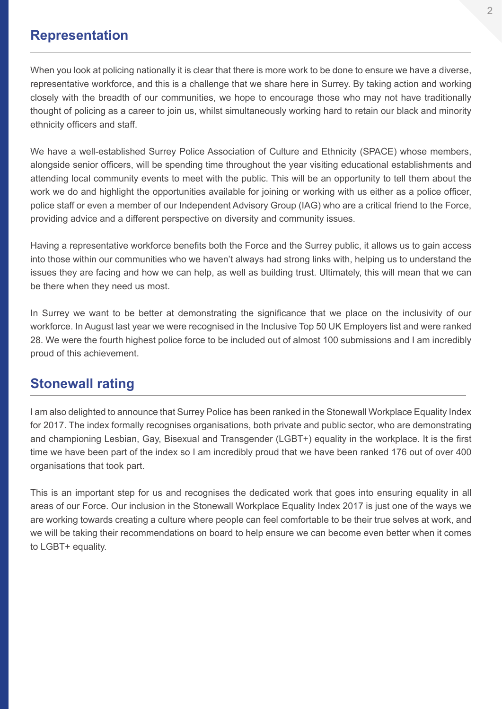#### **Representation**

When you look at policing nationally it is clear that there is more work to be done to ensure we have a diverse, representative workforce, and this is a challenge that we share here in Surrey. By taking action and working closely with the breadth of our communities, we hope to encourage those who may not have traditionally thought of policing as a career to join us, whilst simultaneously working hard to retain our black and minority ethnicity officers and staff.

We have a well-established Surrey Police Association of Culture and Ethnicity (SPACE) whose members, alongside senior officers, will be spending time throughout the year visiting educational establishments and attending local community events to meet with the public. This will be an opportunity to tell them about the work we do and highlight the opportunities available for joining or working with us either as a police officer, police staff or even a member of our Independent Advisory Group (IAG) who are a critical friend to the Force, providing advice and a different perspective on diversity and community issues.

Having a representative workforce benefits both the Force and the Surrey public, it allows us to gain access into those within our communities who we haven't always had strong links with, helping us to understand the issues they are facing and how we can help, as well as building trust. Ultimately, this will mean that we can be there when they need us most.

In Surrey we want to be better at demonstrating the significance that we place on the inclusivity of our workforce. In August last year we were recognised in the Inclusive Top 50 UK Employers list and were ranked 28. We were the fourth highest police force to be included out of almost 100 submissions and I am incredibly proud of this achievement.

### **Stonewall rating**

I am also delighted to announce that Surrey Police has been ranked in the Stonewall Workplace Equality Index for 2017. The index formally recognises organisations, both private and public sector, who are demonstrating and championing Lesbian, Gay, Bisexual and Transgender (LGBT+) equality in the workplace. It is the first time we have been part of the index so I am incredibly proud that we have been ranked 176 out of over 400 organisations that took part.

This is an important step for us and recognises the dedicated work that goes into ensuring equality in all areas of our Force. Our inclusion in the Stonewall Workplace Equality Index 2017 is just one of the ways we are working towards creating a culture where people can feel comfortable to be their true selves at work, and we will be taking their recommendations on board to help ensure we can become even better when it comes to LGBT+ equality.